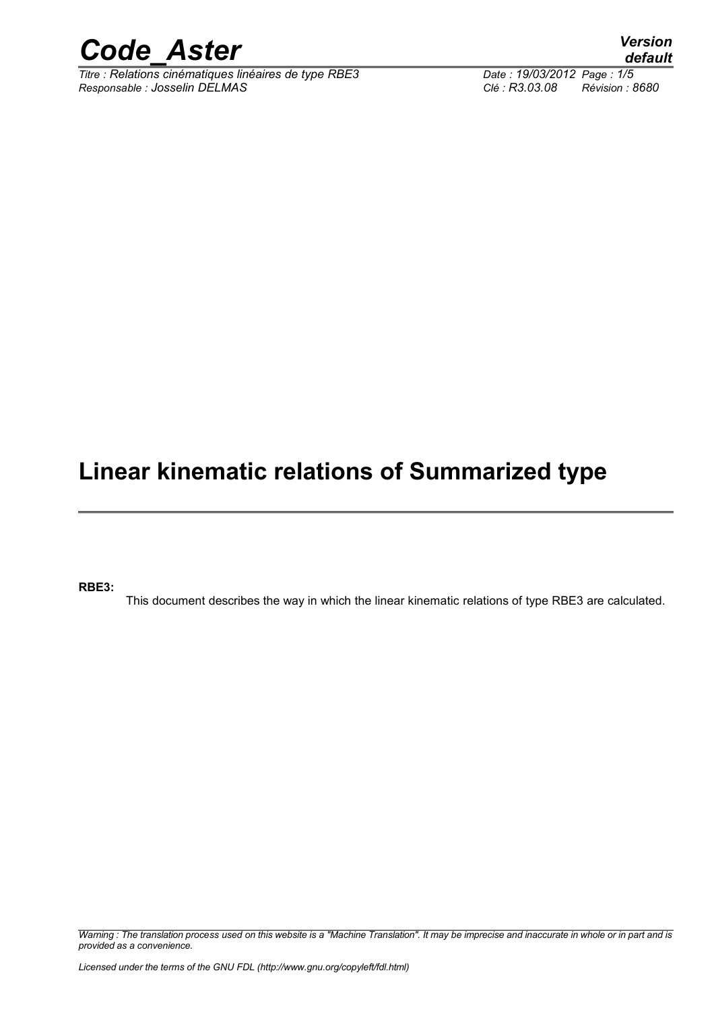

*Titre : Relations cinématiques linéaires de type RBE3 Date : 19/03/2012 Page : 1/5 Responsable : Josselin DELMAS Clé : R3.03.08 Révision : 8680*

*default*

### **Linear kinematic relations of Summarized type**

**RBE3:**

This document describes the way in which the linear kinematic relations of type RBE3 are calculated.

*Warning : The translation process used on this website is a "Machine Translation". It may be imprecise and inaccurate in whole or in part and is provided as a convenience.*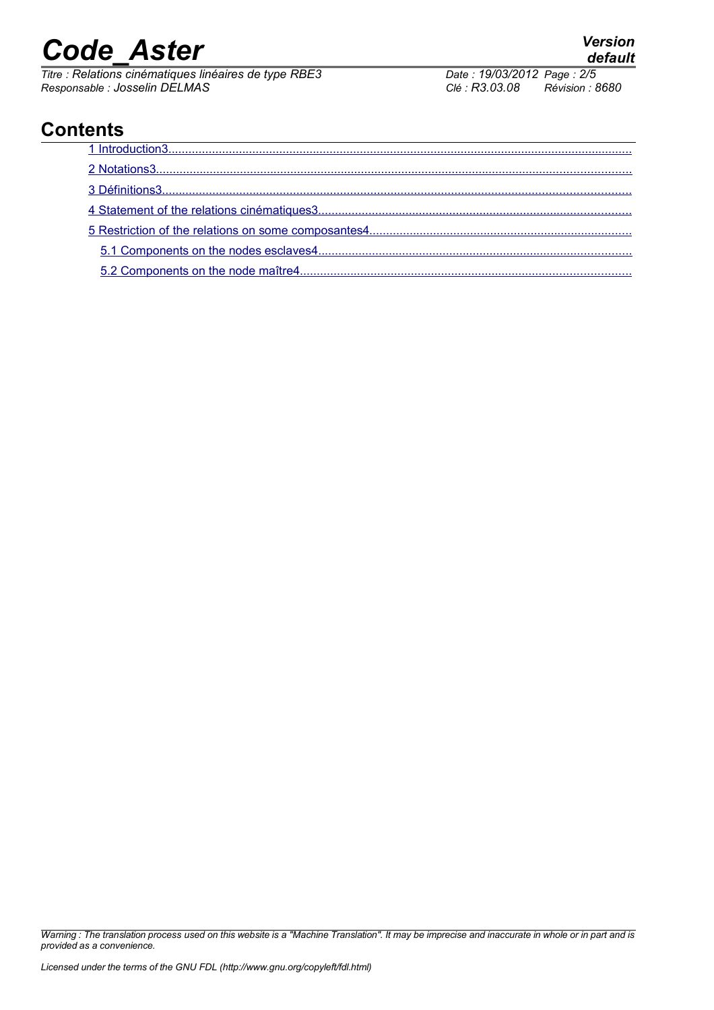*Titre : Relations cinématiques linéaires de type RBE3 Date : 19/03/2012 Page : 2/5 Responsable : Josselin DELMAS Clé : R3.03.08 Révision : 8680*

<span id="page-1-2"></span><span id="page-1-1"></span><span id="page-1-0"></span>

### **Contents**

*Warning : The translation process used on this website is a "Machine Translation". It may be imprecise and inaccurate in whole or in part and is provided as a convenience.*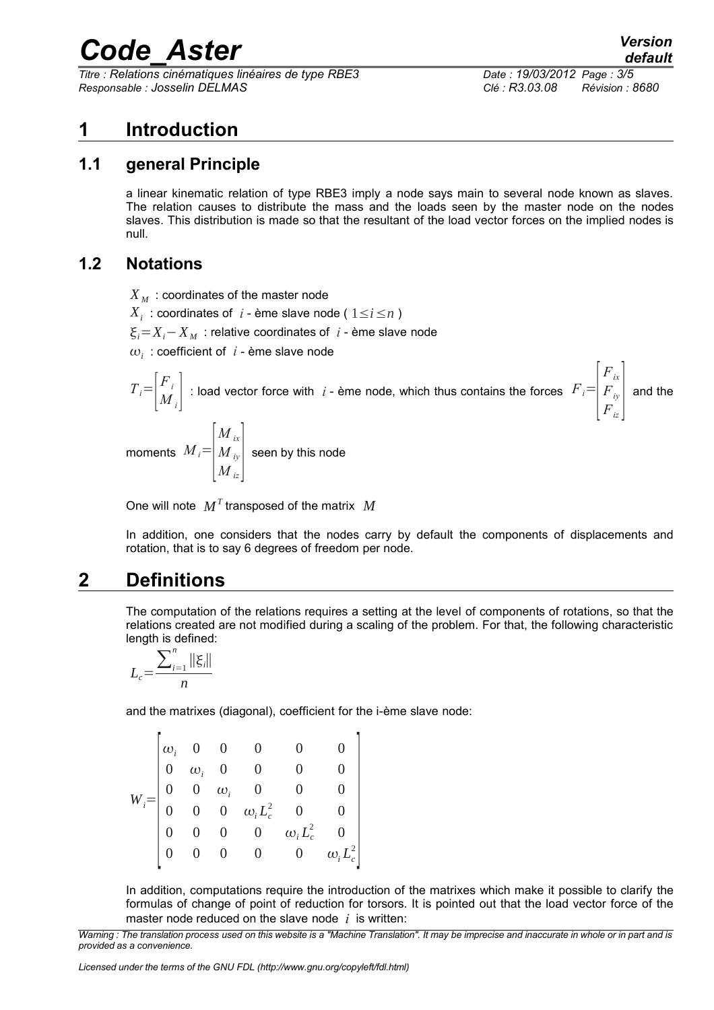*Titre : Relations cinématiques linéaires de type RBE3 Date : 19/03/2012 Page : 3/5 Responsable : Josselin DELMAS Clé : R3.03.08 Révision : 8680*

*Fix*

### <span id="page-2-0"></span>**1 Introduction**

### **1.1 general Principle**

a linear kinematic relation of type RBE3 imply a node says main to several node known as slaves. The relation causes to distribute the mass and the loads seen by the master node on the nodes slaves. This distribution is made so that the resultant of the load vector forces on the implied nodes is null.

### **1.2 Notations**

<span id="page-2-1"></span> $X_M$ : coordinates of the master node

 $X_i$  : coordinates of *i* - ème slave node (  $1 \leq i \leq n$  )

 $\xi_i = X_i - X_M$ : relative coordinates of *i* - ème slave node

 $\omega_i$  : coefficient of  $|i$  - ème slave node

$$
T_i = \begin{bmatrix} F_i \\ M_i \end{bmatrix}
$$
: load vector force with  $i$  - ème node, which thus contains the forces  $F_i = \begin{bmatrix} F_{ix} \\ F_{iy} \\ F_{iz} \end{bmatrix}$  and the

moments  $M_i$ =  $\vert_{\,M}$ *M ix M iy*  $M\frac{v}{iz}$ seen by this node

One will note  $\boldsymbol{M}^T$  transposed of the matrix  $\boldsymbol{M}$ 

In addition, one considers that the nodes carry by default the components of displacements and rotation, that is to say 6 degrees of freedom per node.

### **2 Definitions**

The computation of the relations requires a setting at the level of components of rotations, so that the relations created are not modified during a scaling of the problem. For that, the following characteristic length is defined:

$$
L_c = \frac{\sum_{i=1}^n ||\xi_i||}{n}
$$

and the matrixes (diagonal), coefficient for the i-ème slave node:

$$
W_i\!\!=\!\!\begin{bmatrix} \omega_i & 0 & 0 & 0 & 0 & 0 \\ 0 & \omega_i & 0 & 0 & 0 & 0 \\ 0 & 0 & \omega_i & 0 & 0 & 0 \\ 0 & 0 & 0 & \omega_i L_c^2 & 0 & 0 \\ 0 & 0 & 0 & 0 & \omega_i L_c^2 & 0 \\ 0 & 0 & 0 & 0 & 0 & \omega_i L_c^2 \end{bmatrix}
$$

In addition, computations require the introduction of the matrixes which make it possible to clarify the formulas of change of point of reduction for torsors. It is pointed out that the load vector force of the master node reduced on the slave node *i* is written:

*Warning : The translation process used on this website is a "Machine Translation". It may be imprecise and inaccurate in whole or in part and is provided as a convenience.*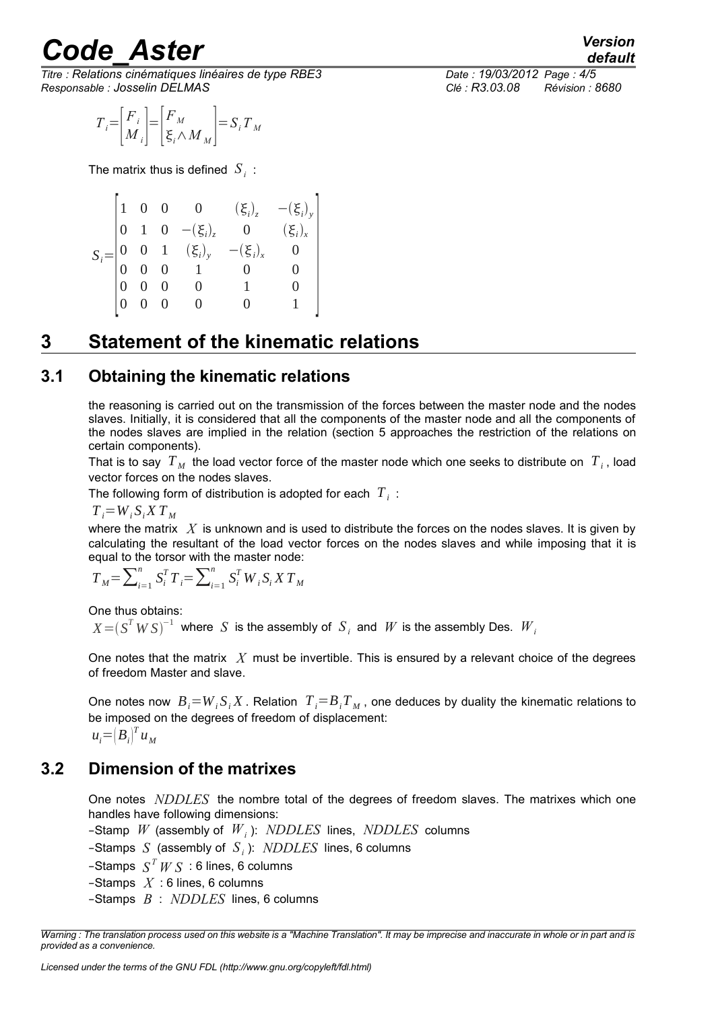*Titre : Relations cinématiques linéaires de type RBE3 Date : 19/03/2012 Page : 4/5 Responsable : Josselin DELMAS Clé : R3.03.08 Révision : 8680*

$$
T_i = \begin{bmatrix} F_i \\ M_i \end{bmatrix} = \begin{bmatrix} F_M \\ \xi_i \wedge M_M \end{bmatrix} = S_i T_M
$$

The matrix thus is defined  $\left|S_i\right|$  :

|  |  | $S_i = \begin{bmatrix} 1 & 0 & 0 & 0 & (\xi_i)_z \ 0 & 1 & 0 & -(\xi_i)_z & 0 \ 0 & 0 & 1 & (\xi_i)_y & -(\xi_i)_x \ 0 & 0 & 0 & 1 & 0 \ 0 & 0 & 0 & 0 & 1 \end{bmatrix}$ |                                              |  |
|--|--|---------------------------------------------------------------------------------------------------------------------------------------------------------------------------|----------------------------------------------|--|
|  |  |                                                                                                                                                                           | $\left  \frac{(\xi_i)_y}{(\xi_i)_x} \right $ |  |
|  |  |                                                                                                                                                                           |                                              |  |
|  |  |                                                                                                                                                                           |                                              |  |
|  |  |                                                                                                                                                                           |                                              |  |
|  |  |                                                                                                                                                                           |                                              |  |
|  |  |                                                                                                                                                                           |                                              |  |

### <span id="page-3-0"></span>**3 Statement of the kinematic relations**

#### **3.1 Obtaining the kinematic relations**

the reasoning is carried out on the transmission of the forces between the master node and the nodes slaves. Initially, it is considered that all the components of the master node and all the components of the nodes slaves are implied in the relation (section [5](#page-4-0) approaches the restriction of the relations on certain components).

That is to say  $T_{\scriptscriptstyle M}$  the load vector force of the master node which one seeks to distribute on  $\overline{T}_i$ , load vector forces on the nodes slaves.

The following form of distribution is adopted for each  $|T^{\dagger}_i\rangle$ :

 $T_i = W_i S_i X T_M$ 

where the matrix *X* is unknown and is used to distribute the forces on the nodes slaves. It is given by calculating the resultant of the load vector forces on the nodes slaves and while imposing that it is equal to the torsor with the master node:

$$
T_M = \sum_{i=1}^{n} S_i^T T_i = \sum_{i=1}^{n} S_i^T W_i S_i X T_M
$$

One thus obtains:

 $X$   $=$   $(S^T W S)^{-1}$  where  $S$  is the assembly of  $S$ <sub>*i*</sub> and  $W$  is the assembly Des.  $W$ <sub>*i*</sub>

One notes that the matrix *X* must be invertible. This is ensured by a relevant choice of the degrees of freedom Master and slave.

One notes now  $B_i = W_i S_i X$ . Relation  $T_i = B_i T_M$ , one deduces by duality the kinematic relations to be imposed on the degrees of freedom of displacement:  $u_i = (B_i)^T u_M$ 

### **3.2 Dimension of the matrixes**

One notes *NDDLES* the nombre total of the degrees of freedom slaves. The matrixes which one handles have following dimensions:

–Stamp *W* (assembly of *W<sup>i</sup>* ): *NDDLES* lines, *NDDLES* columns

–Stamps *S* (assembly of *S <sup>i</sup>* ): *NDDLES* lines, 6 columns

 $-$ Stamps  $S^T W S : 6$  lines, 6 columns

–Stamps *X* : 6 lines, 6 columns

–Stamps *B* : *NDDLES* lines, 6 columns

*default*

*Warning : The translation process used on this website is a "Machine Translation". It may be imprecise and inaccurate in whole or in part and is provided as a convenience.*